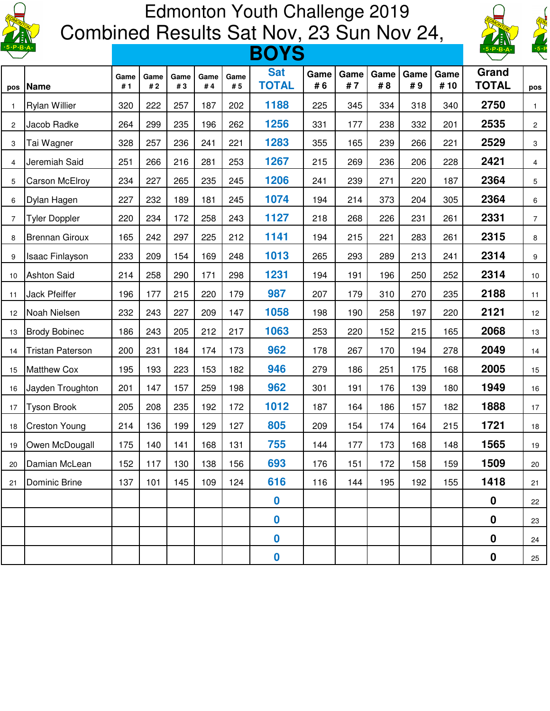

## Edmonton Youth Challenge 2019 Combined Results Sat Nov, 23 Sun Nov 24,  $\frac{1}{2}$



| $\cdot$ 5 $\cdot$ P $\cdot$ B $\cdot$ A $\cdot$ |                         | <b>BOYS</b> |            |            |            |             |                            |            |            |            |            |             | $\cdot$ 5 $\cdot$ P $\cdot$ B $\cdot$ A $\cdot$ | $\sqrt{\frac{-5.19}{2}}$ |
|-------------------------------------------------|-------------------------|-------------|------------|------------|------------|-------------|----------------------------|------------|------------|------------|------------|-------------|-------------------------------------------------|--------------------------|
| pos                                             | <b>Name</b>             | Game<br>#1  | Game<br>#2 | Game<br>#3 | Game<br>#4 | Game<br># 5 | <b>Sat</b><br><b>TOTAL</b> | Game<br>#6 | Game<br>#7 | Game<br>#8 | Game<br>#9 | Game<br>#10 | Grand<br><b>TOTAL</b>                           | pos                      |
| $\overline{1}$                                  | <b>Rylan Willier</b>    | 320         | 222        | 257        | 187        | 202         | 1188                       | 225        | 345        | 334        | 318        | 340         | 2750                                            | $\mathbf{1}$             |
| $\overline{c}$                                  | Jacob Radke             | 264         | 299        | 235        | 196        | 262         | 1256                       | 331        | 177        | 238        | 332        | 201         | 2535                                            | $\mathbf{2}$             |
| 3                                               | Tai Wagner              | 328         | 257        | 236        | 241        | 221         | 1283                       | 355        | 165        | 239        | 266        | 221         | 2529                                            | 3                        |
| $\overline{4}$                                  | Jeremiah Said           | 251         | 266        | 216        | 281        | 253         | 1267                       | 215        | 269        | 236        | 206        | 228         | 2421                                            | $\overline{4}$           |
| 5                                               | Carson McElroy          | 234         | 227        | 265        | 235        | 245         | 1206                       | 241        | 239        | 271        | 220        | 187         | 2364                                            | 5                        |
| 6                                               | Dylan Hagen             | 227         | 232        | 189        | 181        | 245         | 1074                       | 194        | 214        | 373        | 204        | 305         | 2364                                            | 6                        |
| $\overline{7}$                                  | <b>Tyler Doppler</b>    | 220         | 234        | 172        | 258        | 243         | 1127                       | 218        | 268        | 226        | 231        | 261         | 2331                                            | $\overline{7}$           |
| 8                                               | <b>Brennan Giroux</b>   | 165         | 242        | 297        | 225        | 212         | 1141                       | 194        | 215        | 221        | 283        | 261         | 2315                                            | 8                        |
| 9                                               | <b>Isaac Finlayson</b>  | 233         | 209        | 154        | 169        | 248         | 1013                       | 265        | 293        | 289        | 213        | 241         | 2314                                            | 9                        |
| 10                                              | <b>Ashton Said</b>      | 214         | 258        | 290        | 171        | 298         | 1231                       | 194        | 191        | 196        | 250        | 252         | 2314                                            | 10                       |
| 11                                              | Jack Pfeiffer           | 196         | 177        | 215        | 220        | 179         | 987                        | 207        | 179        | 310        | 270        | 235         | 2188                                            | 11                       |
| 12                                              | Noah Nielsen            | 232         | 243        | 227        | 209        | 147         | 1058                       | 198        | 190        | 258        | 197        | 220         | 2121                                            | 12                       |
| 13                                              | <b>Brody Bobinec</b>    | 186         | 243        | 205        | 212        | 217         | 1063                       | 253        | 220        | 152        | 215        | 165         | 2068                                            | 13                       |
| 14                                              | <b>Tristan Paterson</b> | 200         | 231        | 184        | 174        | 173         | 962                        | 178        | 267        | 170        | 194        | 278         | 2049                                            | 14                       |
| 15                                              | <b>Matthew Cox</b>      | 195         | 193        | 223        | 153        | 182         | 946                        | 279        | 186        | 251        | 175        | 168         | 2005                                            | 15                       |
| 16                                              | Jayden Troughton        | 201         | 147        | 157        | 259        | 198         | 962                        | 301        | 191        | 176        | 139        | 180         | 1949                                            | 16                       |
| 17                                              | <b>Tyson Brook</b>      | 205         | 208        | 235        | 192        | 172         | 1012                       | 187        | 164        | 186        | 157        | 182         | 1888                                            | 17                       |
| 18                                              | <b>Creston Young</b>    | 214         | 136        | 199        | 129        | 127         | 805                        | 209        | 154        | 174        | 164        | 215         | 1721                                            | 18                       |
| 19                                              | Owen McDougall          | 175         | 140        | 141        | 168        | 131         | 755                        | 144        | 177        | 173        | 168        | 148         | 1565                                            | $19$                     |
| 20                                              | Damian McLean           | 152         | 117        | 130        | 138        | 156         | 693                        | 176        | 151        | 172        | 158        | 159         | 1509                                            | 20                       |
| 21                                              | Dominic Brine           | 137         | 101        | 145        | 109        | 124         | 616                        | 116        | 144        | 195        | 192        | 155         | 1418                                            | 21                       |
|                                                 |                         |             |            |            |            |             | $\boldsymbol{0}$           |            |            |            |            |             | 0                                               | 22                       |
|                                                 |                         |             |            |            |            |             | $\boldsymbol{0}$           |            |            |            |            |             | $\mathbf 0$                                     | 23                       |
|                                                 |                         |             |            |            |            |             | 0                          |            |            |            |            |             | $\boldsymbol{0}$                                | 24                       |
|                                                 |                         |             |            |            |            |             | 0                          |            |            |            |            |             | $\boldsymbol{0}$                                | 25                       |